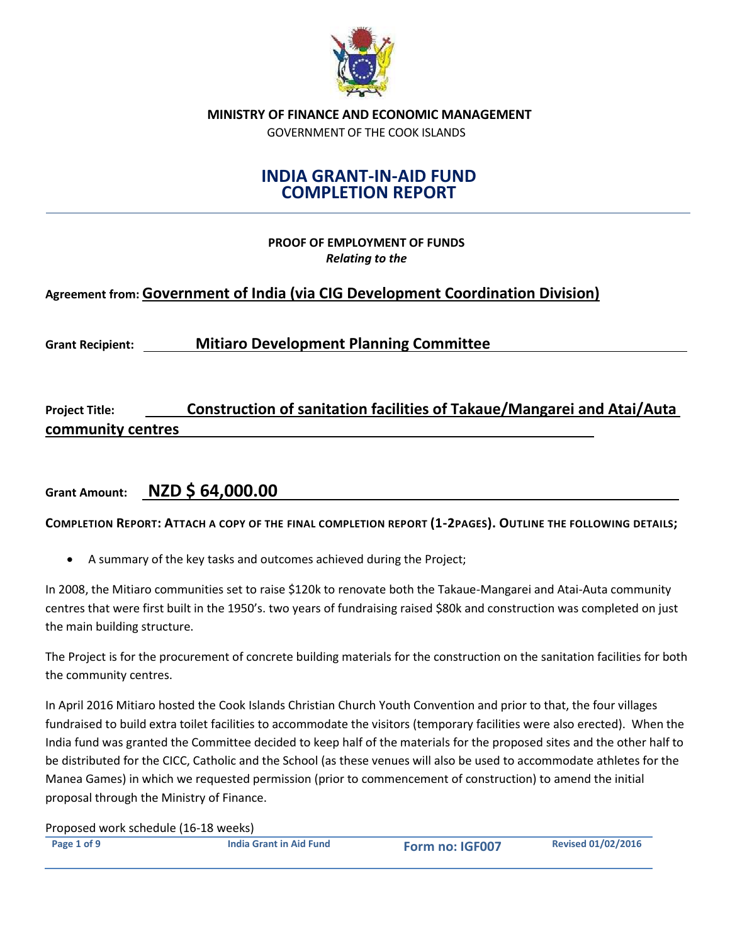

**MINISTRY OF FINANCE AND ECONOMIC MANAGEMENT**

GOVERNMENT OF THE COOK ISLANDS

# **INDIA GRANT-IN-AID FUND COMPLETION REPORT**

**PROOF OF EMPLOYMENT OF FUNDS** *Relating to the*

# **Agreement from: Government of India (via CIG Development Coordination Division)**

**Grant Recipient: Mitiaro Development Planning Committee** 

# **Project Title: Construction of sanitation facilities of Takaue/Mangarei and Atai/Auta community centres**

## **Grant Amount: NZD \$ 64,000.00**

**COMPLETION REPORT: ATTACH A COPY OF THE FINAL COMPLETION REPORT (1-2PAGES). OUTLINE THE FOLLOWING DETAILS;**

A summary of the key tasks and outcomes achieved during the Project;

In 2008, the Mitiaro communities set to raise \$120k to renovate both the Takaue-Mangarei and Atai-Auta community centres that were first built in the 1950's. two years of fundraising raised \$80k and construction was completed on just the main building structure.

The Project is for the procurement of concrete building materials for the construction on the sanitation facilities for both the community centres.

In April 2016 Mitiaro hosted the Cook Islands Christian Church Youth Convention and prior to that, the four villages fundraised to build extra toilet facilities to accommodate the visitors (temporary facilities were also erected). When the India fund was granted the Committee decided to keep half of the materials for the proposed sites and the other half to be distributed for the CICC, Catholic and the School (as these venues will also be used to accommodate athletes for the Manea Games) in which we requested permission (prior to commencement of construction) to amend the initial proposal through the Ministry of Finance.

Proposed work schedule (16-18 weeks)

| Page 1 of 9 | India Grant in Aid Fund | Form no: IGF007 | <b>Revised 01/02/2016</b> |
|-------------|-------------------------|-----------------|---------------------------|
|             |                         |                 |                           |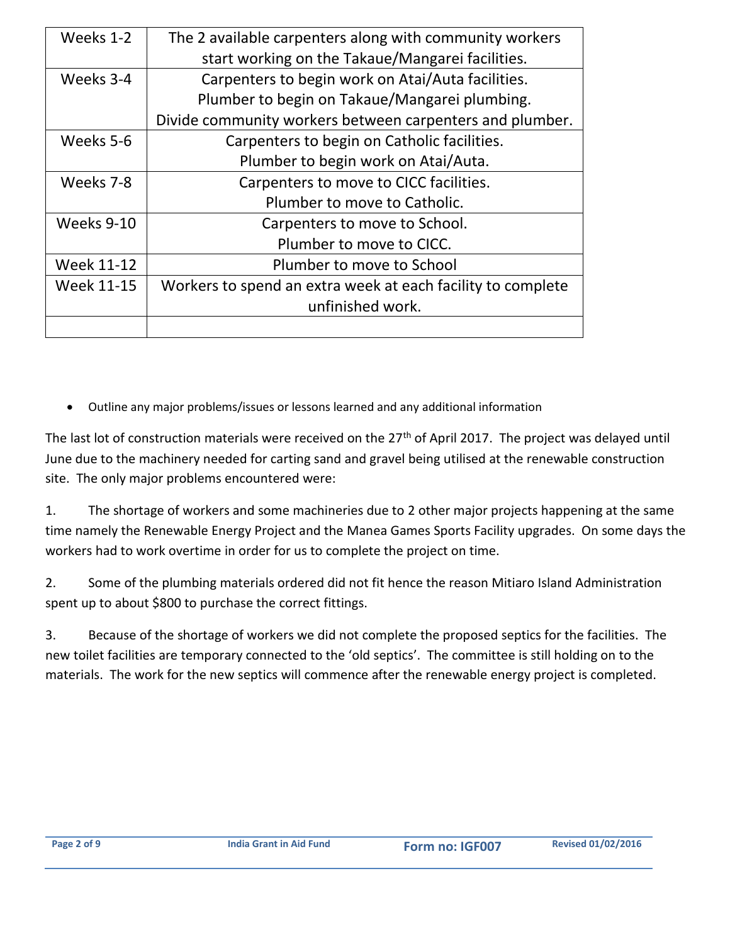| Weeks 1-2         | The 2 available carpenters along with community workers     |
|-------------------|-------------------------------------------------------------|
|                   | start working on the Takaue/Mangarei facilities.            |
| Weeks 3-4         | Carpenters to begin work on Atai/Auta facilities.           |
|                   | Plumber to begin on Takaue/Mangarei plumbing.               |
|                   | Divide community workers between carpenters and plumber.    |
| Weeks 5-6         | Carpenters to begin on Catholic facilities.                 |
|                   | Plumber to begin work on Atai/Auta.                         |
| Weeks 7-8         | Carpenters to move to CICC facilities.                      |
|                   | Plumber to move to Catholic.                                |
| Weeks 9-10        | Carpenters to move to School.                               |
|                   | Plumber to move to CICC.                                    |
| <b>Week 11-12</b> | Plumber to move to School                                   |
| Week 11-15        | Workers to spend an extra week at each facility to complete |
|                   | unfinished work.                                            |
|                   |                                                             |

Outline any major problems/issues or lessons learned and any additional information

The last lot of construction materials were received on the 27<sup>th</sup> of April 2017. The project was delayed until June due to the machinery needed for carting sand and gravel being utilised at the renewable construction site. The only major problems encountered were:

1. The shortage of workers and some machineries due to 2 other major projects happening at the same time namely the Renewable Energy Project and the Manea Games Sports Facility upgrades. On some days the workers had to work overtime in order for us to complete the project on time.

2. Some of the plumbing materials ordered did not fit hence the reason Mitiaro Island Administration spent up to about \$800 to purchase the correct fittings.

3. Because of the shortage of workers we did not complete the proposed septics for the facilities. The new toilet facilities are temporary connected to the 'old septics'. The committee is still holding on to the materials. The work for the new septics will commence after the renewable energy project is completed.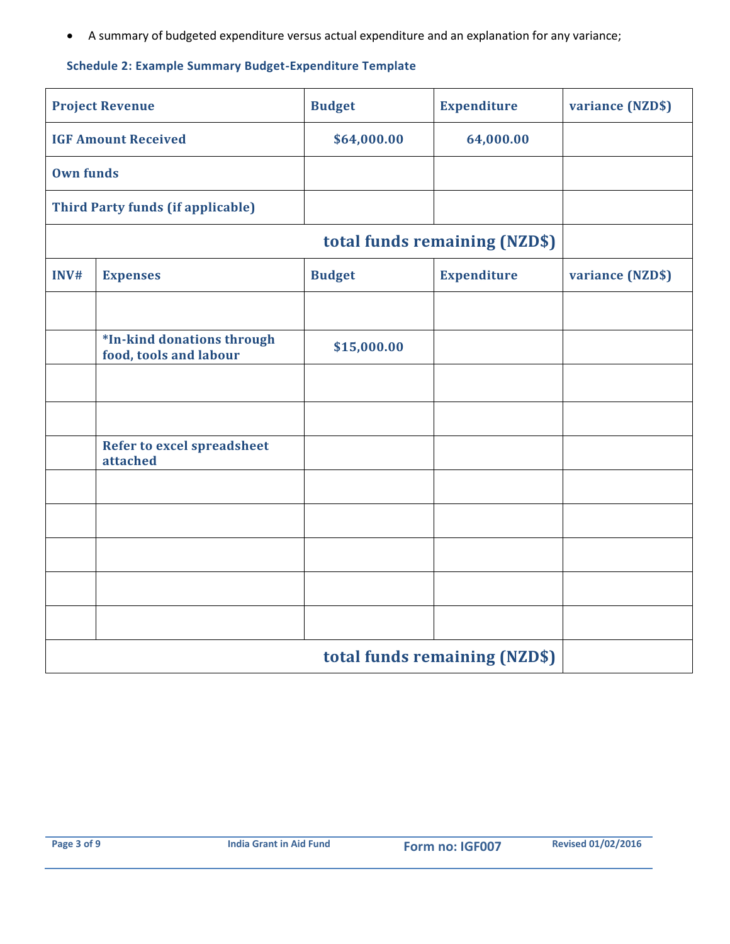A summary of budgeted expenditure versus actual expenditure and an explanation for any variance;

**Schedule 2: Example Summary Budget-Expenditure Template** 

|                  | <b>Project Revenue</b>                               | <b>Budget</b> | <b>Expenditure</b>            | variance (NZD\$) |  |
|------------------|------------------------------------------------------|---------------|-------------------------------|------------------|--|
|                  | <b>IGF Amount Received</b>                           | \$64,000.00   | 64,000.00                     |                  |  |
| <b>Own funds</b> |                                                      |               |                               |                  |  |
|                  | <b>Third Party funds (if applicable)</b>             |               |                               |                  |  |
|                  | total funds remaining (NZD\$)                        |               |                               |                  |  |
| INV#             | <b>Expenses</b>                                      | <b>Budget</b> | <b>Expenditure</b>            | variance (NZD\$) |  |
|                  |                                                      |               |                               |                  |  |
|                  | *In-kind donations through<br>food, tools and labour | \$15,000.00   |                               |                  |  |
|                  |                                                      |               |                               |                  |  |
|                  |                                                      |               |                               |                  |  |
|                  | <b>Refer to excel spreadsheet</b><br>attached        |               |                               |                  |  |
|                  |                                                      |               |                               |                  |  |
|                  |                                                      |               |                               |                  |  |
|                  |                                                      |               |                               |                  |  |
|                  |                                                      |               |                               |                  |  |
|                  |                                                      |               |                               |                  |  |
|                  |                                                      |               | total funds remaining (NZD\$) |                  |  |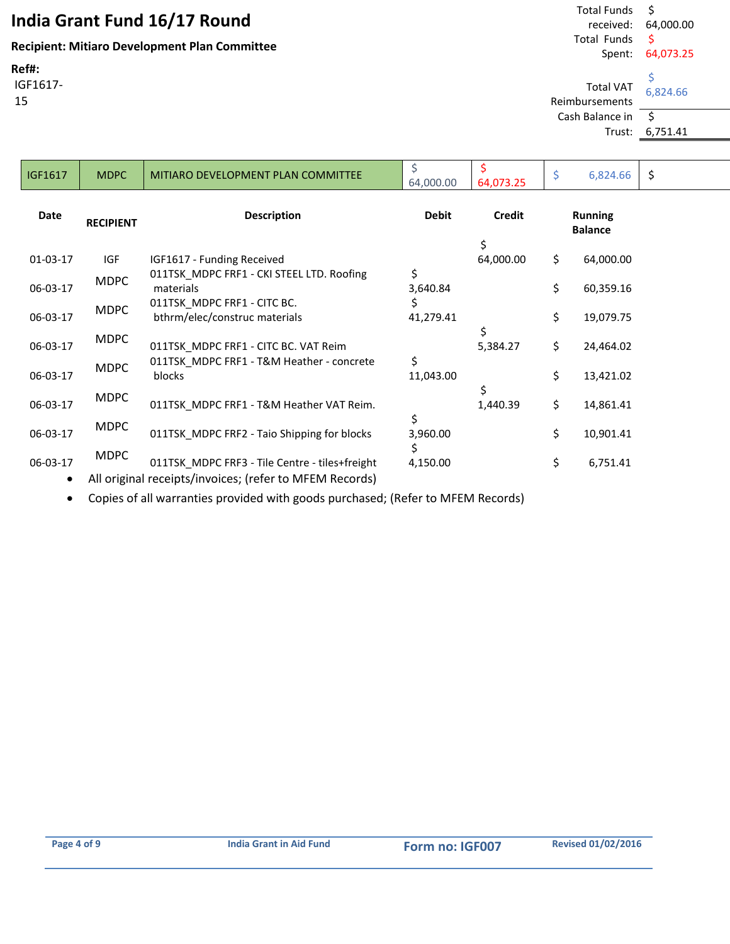# **India Grant Fund 16/17 Round** Total Funds Total Funds Total Funds

**Recipient: Mitiaro Development Plan Committee** 

**Ref#:** 

IGF1617-

15

received:<br>Total Funds \$ 64,000.00 Spent: 64,073.25 \$

Total VAT Reimbursements \$ 6,824.66 Cash Balance in Trust: 6,751.41 \$

| <b>IGF1617</b>                                          | <b>MDPC</b>      | MITIARO DEVELOPMENT PLAN COMMITTEE                           | Ś<br>64,000.00  | Ś<br>64,073.25  | \$  | 6,824.66                         | \$ |
|---------------------------------------------------------|------------------|--------------------------------------------------------------|-----------------|-----------------|-----|----------------------------------|----|
| Date                                                    | <b>RECIPIENT</b> | <b>Description</b>                                           | <b>Debit</b>    | <b>Credit</b>   |     | <b>Running</b><br><b>Balance</b> |    |
| 01-03-17                                                | <b>IGF</b>       | IGF1617 - Funding Received                                   |                 | \$<br>64,000.00 | \$. | 64,000.00                        |    |
| 06-03-17                                                | <b>MDPC</b>      | 011TSK_MDPC FRF1 - CKI STEEL LTD. Roofing<br>materials       | \$<br>3,640.84  |                 | \$  | 60,359.16                        |    |
| 06-03-17                                                | <b>MDPC</b>      | 011TSK_MDPC FRF1 - CITC BC.<br>bthrm/elec/construc materials | 41,279.41       |                 | \$  | 19,079.75                        |    |
| 06-03-17                                                | <b>MDPC</b>      | 011TSK_MDPC FRF1 - CITC BC. VAT Reim                         |                 | \$<br>5,384.27  | \$  | 24,464.02                        |    |
| 06-03-17                                                | <b>MDPC</b>      | 011TSK MDPC FRF1 - T&M Heather - concrete<br>blocks          | \$<br>11,043.00 |                 | \$  | 13,421.02                        |    |
| 06-03-17                                                | <b>MDPC</b>      | 011TSK_MDPC FRF1 - T&M Heather VAT Reim.                     |                 | \$<br>1,440.39  | \$  | 14,861.41                        |    |
| 06-03-17                                                | <b>MDPC</b>      | 011TSK MDPC FRF2 - Taio Shipping for blocks                  | \$<br>3,960.00  |                 | \$  | 10,901.41                        |    |
| 06-03-17                                                | <b>MDPC</b>      | 011TSK MDPC FRF3 - Tile Centre - tiles+freight               | 4,150.00        |                 | \$  | 6,751.41                         |    |
| All original receipts/invoices; (refer to MFEM Records) |                  |                                                              |                 |                 |     |                                  |    |

Copies of all warranties provided with goods purchased; (Refer to MFEM Records)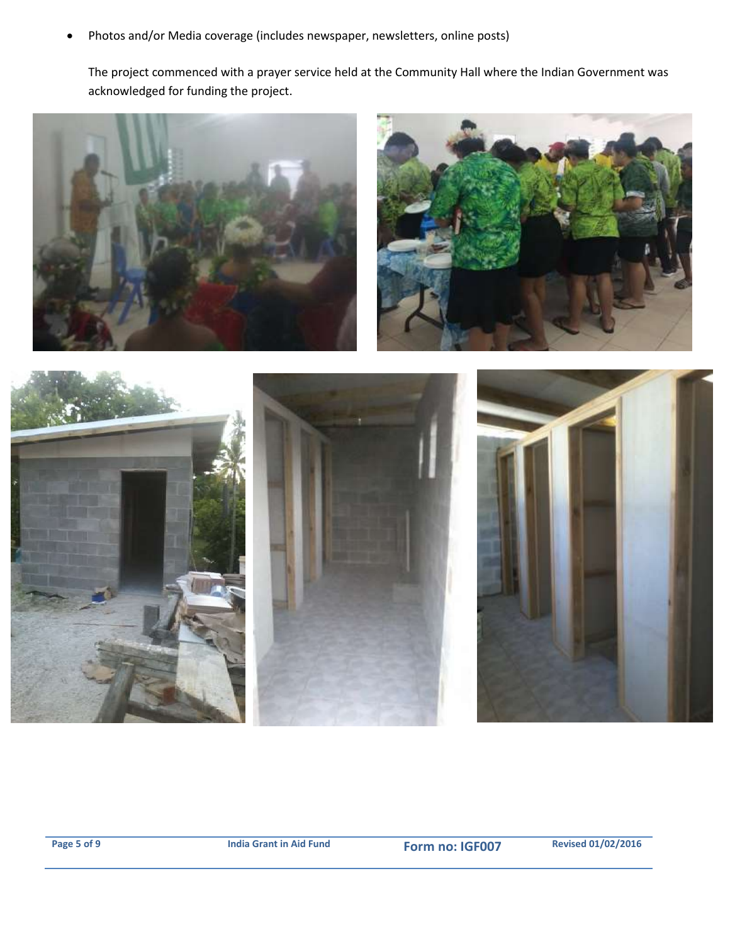Photos and/or Media coverage (includes newspaper, newsletters, online posts)

The project commenced with a prayer service held at the Community Hall where the Indian Government was acknowledged for funding the project.







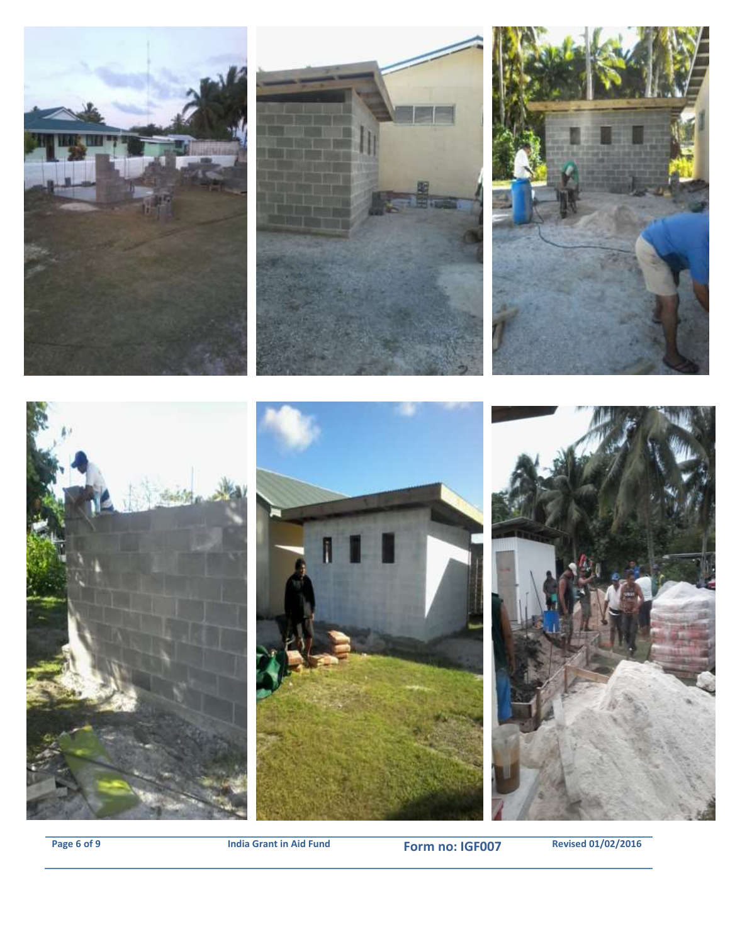







**Page 6** of 9 **India Grant in Aid Fund Form no: IGF007 Revised 01/02/2016**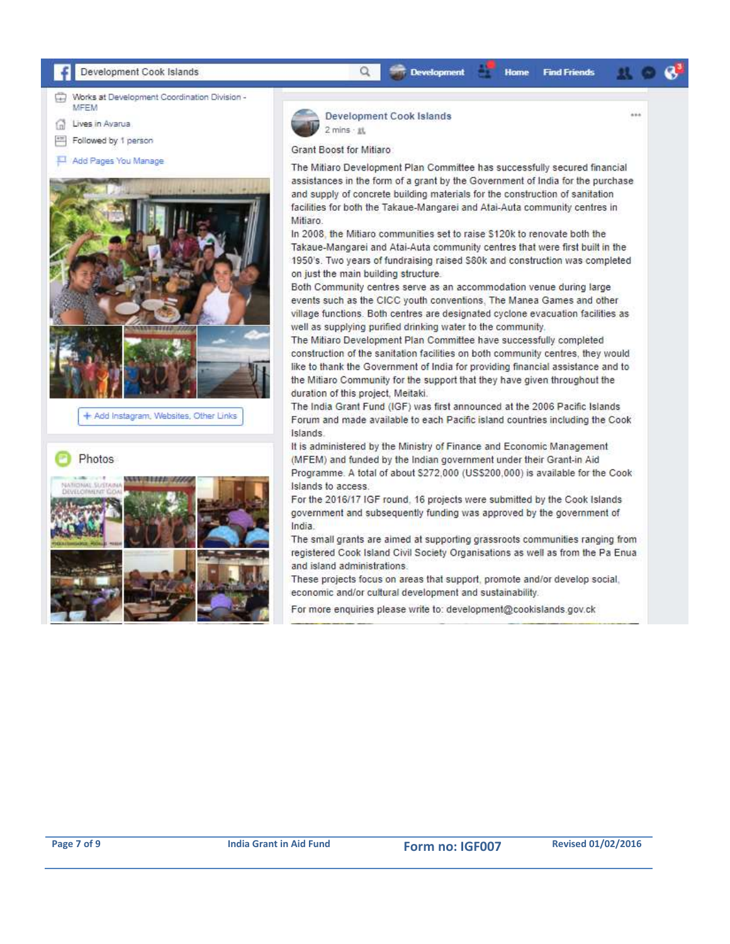#### Development Cook Islands

### **Development**



is in

Works at Development Coordination Division -**MFEM** 

- **Co** Lives in Avarua
- Followed by 1 person
- Add Pages You Manage



+ Add Instagram, Websites, Other Links





**Development Cook Islands**  $2 \text{ mins} \cdot \text{at}$ 

**Grant Boost for Mitiaro** 

 $\alpha$ 

The Mitiaro Development Plan Committee has successfully secured financial assistances in the form of a grant by the Government of India for the purchase and supply of concrete building materials for the construction of sanitation facilities for both the Takaue-Mangarei and Atai-Auta community centres in Mitiaro

In 2008, the Mitiaro communities set to raise \$120k to renovate both the Takaue-Mangarei and Atai-Auta community centres that were first built in the 1950's. Two years of fundraising raised \$80k and construction was completed on just the main building structure.

Both Community centres serve as an accommodation venue during large events such as the CICC youth conventions. The Manea Games and other village functions. Both centres are designated cyclone evacuation facilities as well as supplying purified drinking water to the community.

The Mitiaro Development Plan Committee have successfully completed construction of the sanitation facilities on both community centres, they would like to thank the Government of India for providing financial assistance and to the Mitiaro Community for the support that they have given throughout the duration of this project, Meitaki.

The India Grant Fund (IGF) was first announced at the 2006 Pacific Islands Forum and made available to each Pacific island countries including the Cook Islands.

It is administered by the Ministry of Finance and Economic Management (MFEM) and funded by the Indian government under their Grant-in Aid Programme. A total of about \$272,000 (US\$200,000) is available for the Cook Islands to access.

For the 2016/17 IGF round, 16 projects were submitted by the Cook Islands government and subsequently funding was approved by the government of India

The small grants are aimed at supporting grassroots communities ranging from registered Cook Island Civil Society Organisations as well as from the Pa Enua and island administrations.

These projects focus on areas that support, promote and/or develop social. economic and/or cultural development and sustainability.

For more enquiries please write to: development@cookislands.gov.ck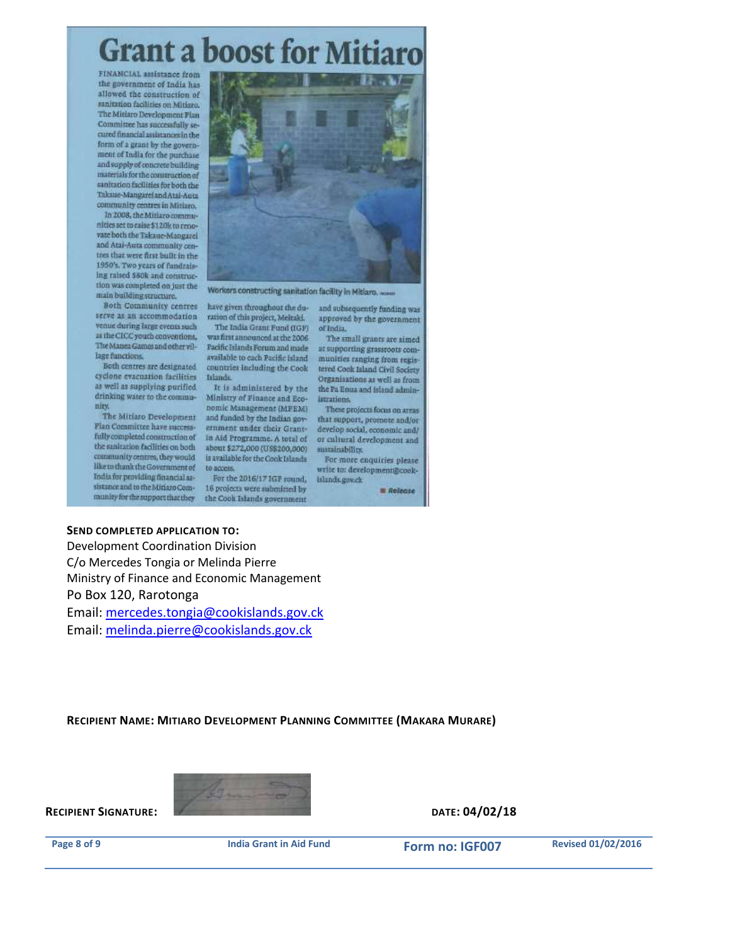# **Grant a boost for Mitian**

FINANCIAL assistance from the government of India has allowed the construction of sanitation facilities on Mitiaro. The Mitiaro Development Pian Committee has successfully secured financial assistances in the form of a grant by the government of India for the purchase and supply of concrete building materials for the construction of sanitation facilities for both the Takaue-Mangarei and Atai-Auta community centres in Mitiaro.

In 2008, the Miniaro communities set to raise \$120k to renovate both the Takaue-Mangarei and Atai-Auta community centres that were first bulk in the 1950's. Two years of fundraising raised \$80k and construction was completed on just the main building structure.

Both Community centres serve as an accommodation venue during large events such as the CICC youth conventions, was first announced at the 2006 lage functions.

Both centres are designated cyclone evacuation facilities as well as supplying purified. drinking water to the community.

Plan Committee have successfully completed construction of in Aid Programme. A total of the sanitation facilities on both about \$272,000 (US\$200,000) community centres, they would is available for the Cook Islands like to thank the Government of India for providing financial assistance and to the Mitiaro Community for the support that they



Workers constructing sanitation facility in Mitiaro. .

have given throughout the duration of this project, Meitaki, The India Grant Fund (IGF)

The Manea Games and other vil- Pacific Islands Forum and made available to each Pacific island countries including the Cook Islands.

It is administered by the Ministry of Finance and Economic Management (MFEM) The Mitiaro Development and funded by the Indian government under their Grantto access.

For the 2016/17 IGF round, islands.gov.ck 16 projects were submitted by the Cook Islands government

and subsequently funding was approved by the government of India,

The small grants are aimed at supporting grassroots communities ranging from registered Cook Island Civil Society Organisations as well as from the Pa Enua and island administrations.

These projects focus on areas that support, promote and/or develop social, economic and/ or cultural development and sustainability. For more enquiries please

write to: development@cook-

**Release** 

**SEND COMPLETED APPLICATION TO: Development Coordination Division** C/o Mercedes Tongia or Melinda Pierre Ministry of Finance and Economic Management Po Box 120, Rarotonga Email: mercedes.tongia@cookislands.gov.ck Email: melinda.pierre@cookislands.gov.ck

RECIPIENT NAME: MITIARO DEVELOPMENT PLANNING COMMITTEE (MAKARA MURARE)